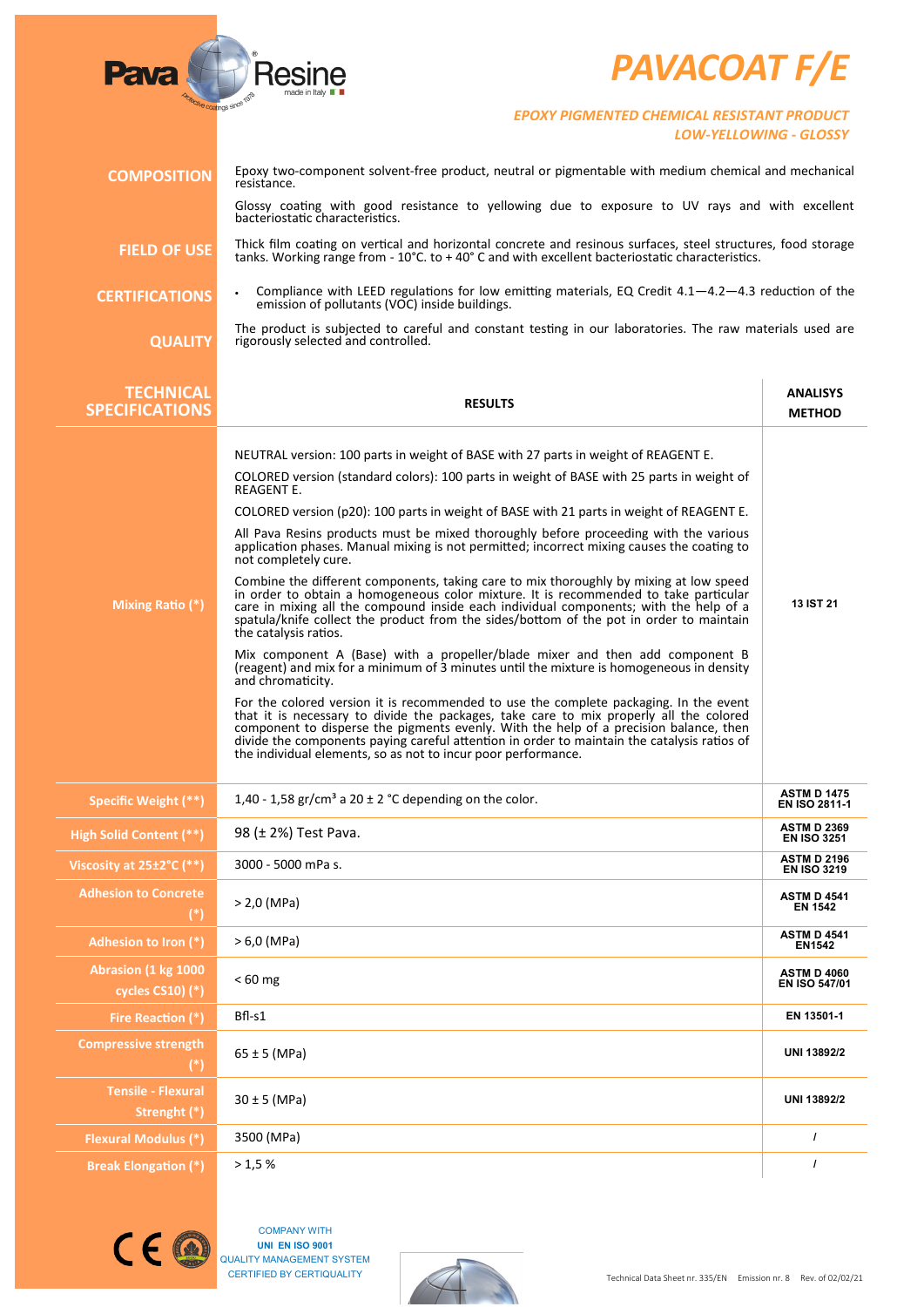## *PAVACOAT F/E*



## *EPOXY PIGMENTED CHEMICAL RESISTANT PRODUCT LOW-YELLOWING - GLOSSY*

| <b>COMPOSITION</b>                           | Epoxy two-component solvent-free product, neutral or pigmentable with medium chemical and mechanical<br>resistance.                                                                                                                                                                                                                                                                                                                      |                                            |
|----------------------------------------------|------------------------------------------------------------------------------------------------------------------------------------------------------------------------------------------------------------------------------------------------------------------------------------------------------------------------------------------------------------------------------------------------------------------------------------------|--------------------------------------------|
|                                              | Glossy coating with good resistance to yellowing due to exposure to UV rays and with excellent<br>bacteriostatic characteristics.                                                                                                                                                                                                                                                                                                        |                                            |
| <b>FIELD OF USE</b>                          | Thick film coating on vertical and horizontal concrete and resinous surfaces, steel structures, food storage<br>tanks. Working range from - 10°C. to +40° C and with excellent bacteriostatic characteristics.                                                                                                                                                                                                                           |                                            |
| <b>CERTIFICATIONS</b>                        | Compliance with LEED regulations for low emitting materials, EQ Credit $4.1-4.2-4.3$ reduction of the<br>emission of pollutants (VOC) inside buildings.                                                                                                                                                                                                                                                                                  |                                            |
| <b>QUALITY</b>                               | The product is subjected to careful and constant testing in our laboratories. The raw materials used are<br>rigorously selected and controlled.                                                                                                                                                                                                                                                                                          |                                            |
| <b>TECHNICAL</b><br><b>SPECIFICATIONS</b>    | <b>RESULTS</b>                                                                                                                                                                                                                                                                                                                                                                                                                           | <b>ANALISYS</b><br><b>METHOD</b>           |
|                                              | NEUTRAL version: 100 parts in weight of BASE with 27 parts in weight of REAGENT E.                                                                                                                                                                                                                                                                                                                                                       |                                            |
|                                              | COLORED version (standard colors): 100 parts in weight of BASE with 25 parts in weight of                                                                                                                                                                                                                                                                                                                                                |                                            |
|                                              | REAGENT E.<br>COLORED version (p20): 100 parts in weight of BASE with 21 parts in weight of REAGENT E.                                                                                                                                                                                                                                                                                                                                   |                                            |
|                                              | All Pava Resins products must be mixed thoroughly before proceeding with the various<br>application phases. Manual mixing is not permitted; incorrect mixing causes the coating to<br>not completely cure.                                                                                                                                                                                                                               |                                            |
| Mixing Ratio (*)                             | Combine the different components, taking care to mix thoroughly by mixing at low speed<br>in order to obtain a homogeneous color mixture. It is recommended to take particular<br>care in mixing all the compound inside each individual components; with the help of a<br>spatula/knife collect the product from the sides/bottom of the pot in order to maintain<br>the catalysis ratios.                                              | 13 IST 21                                  |
|                                              | Mix component A (Base) with a propeller/blade mixer and then add component B<br>(reagent) and mix for a minimum of 3 minutes until the mixture is homogeneous in density<br>and chromaticity.                                                                                                                                                                                                                                            |                                            |
|                                              | For the colored version it is recommended to use the complete packaging. In the event<br>that it is necessary to divide the packages, take care to mix properly all the colored<br>component to disperse the pigments evenly. With the help of a precision balance, then<br>divide the components paying careful attention in order to maintain the catalysis ratios of<br>the individual elements, so as not to incur poor performance. |                                            |
| Specific Weight (**)                         | 1,40 - 1,58 gr/cm <sup>3</sup> a 20 $\pm$ 2 °C depending on the color.                                                                                                                                                                                                                                                                                                                                                                   | <b>ASTM D 1475</b><br><b>EN ISO 2811-1</b> |
| High Solid Content (**)                      | 98 (± 2%) Test Pava.                                                                                                                                                                                                                                                                                                                                                                                                                     | <b>ASTM D 2369</b><br><b>EN ISO 3251</b>   |
| Viscosity at 25±2°C (**)                     | 3000 - 5000 mPa s.                                                                                                                                                                                                                                                                                                                                                                                                                       | <b>ASTM D 2196</b><br><b>EN ISO 3219</b>   |
| <b>Adhesion to Concrete</b><br>$(*)$         | $> 2,0$ (MPa)                                                                                                                                                                                                                                                                                                                                                                                                                            | <b>ASTM D 4541</b><br><b>EN 1542</b>       |
| Adhesion to Iron (*)                         | $> 6.0$ (MPa)                                                                                                                                                                                                                                                                                                                                                                                                                            | <b>ASTM D 4541</b><br><b>EN1542</b>        |
| Abrasion (1 kg 1000<br>cycles $CS10$ ) $(*)$ | $< 60$ mg                                                                                                                                                                                                                                                                                                                                                                                                                                | <b>ASTM D 4060</b><br>EN ISO 547/01        |
| Fire Reaction (*)                            | Bfl-s1                                                                                                                                                                                                                                                                                                                                                                                                                                   | EN 13501-1                                 |
| <b>Compressive strength</b><br>$(*)$         | $65 \pm 5$ (MPa)                                                                                                                                                                                                                                                                                                                                                                                                                         | UNI 13892/2                                |
| <b>Tensile - Flexural</b><br>Strenght (*)    | $30 \pm 5$ (MPa)                                                                                                                                                                                                                                                                                                                                                                                                                         | UNI 13892/2                                |
| <b>Flexural Modulus (*)</b>                  | 3500 (MPa)                                                                                                                                                                                                                                                                                                                                                                                                                               | $\prime$                                   |
| <b>Break Elongation (*)</b>                  | >1,5%                                                                                                                                                                                                                                                                                                                                                                                                                                    | $\prime$                                   |



COMPANY WITH **UNI EN ISO 9001** QUALITY MANAGEMENT SYSTEM CERTIFIED BY CERTIQUALITY

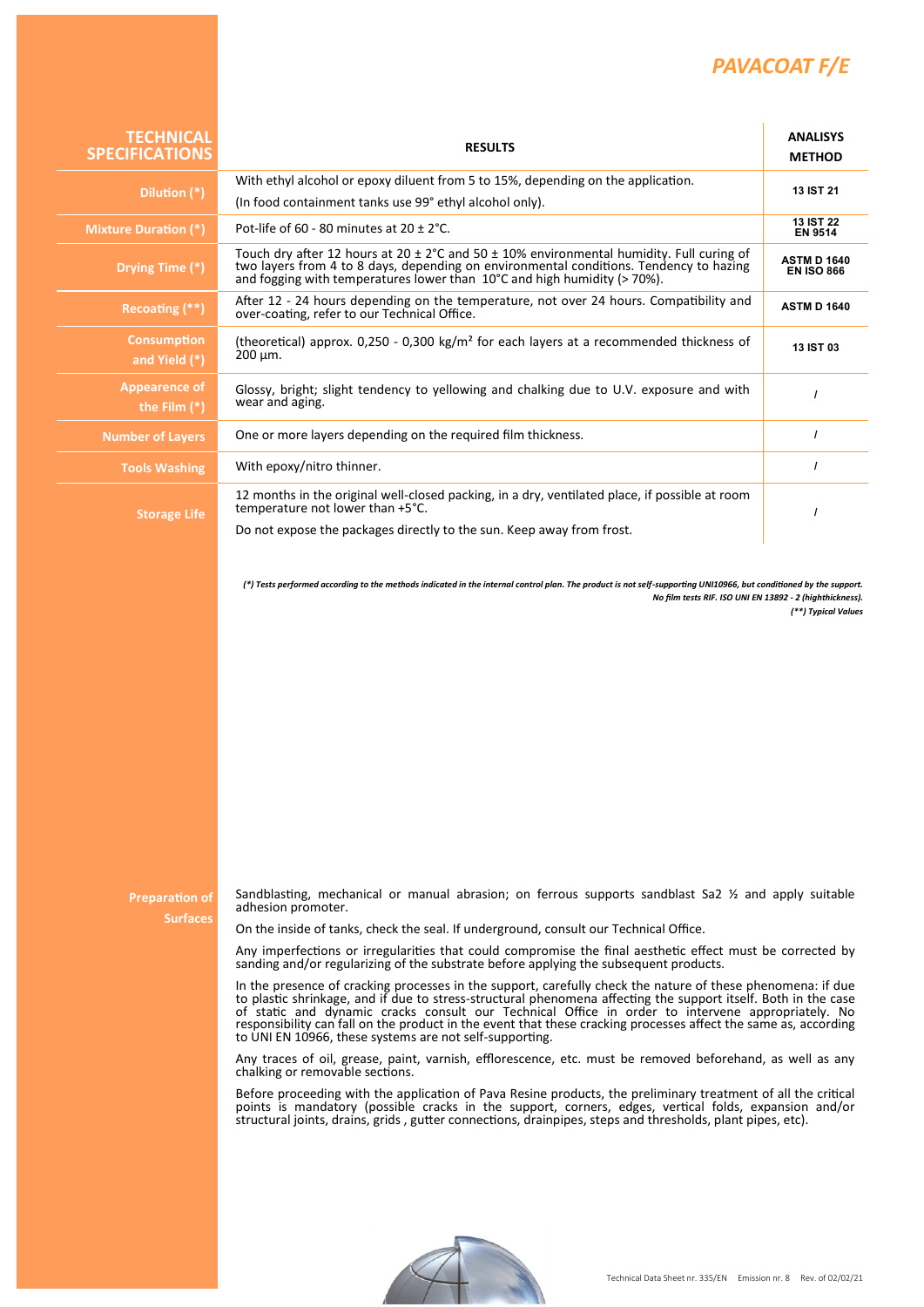## *PAVACOAT F/E*

| <b>TECHNICAL</b><br><b>SPECIFICATIONS</b> | <b>RESULTS</b>                                                                                                                                                                                                                                                                                                                                                                                                                                                                                                                                                                                                                                                                                                                                                                                                                                                                                                                                                                                                                                                                                                                                                                                                                                                                                                                                                                                                                         | <b>ANALISYS</b><br><b>METHOD</b>        |
|-------------------------------------------|----------------------------------------------------------------------------------------------------------------------------------------------------------------------------------------------------------------------------------------------------------------------------------------------------------------------------------------------------------------------------------------------------------------------------------------------------------------------------------------------------------------------------------------------------------------------------------------------------------------------------------------------------------------------------------------------------------------------------------------------------------------------------------------------------------------------------------------------------------------------------------------------------------------------------------------------------------------------------------------------------------------------------------------------------------------------------------------------------------------------------------------------------------------------------------------------------------------------------------------------------------------------------------------------------------------------------------------------------------------------------------------------------------------------------------------|-----------------------------------------|
| Dilution (*)                              | With ethyl alcohol or epoxy diluent from 5 to 15%, depending on the application.                                                                                                                                                                                                                                                                                                                                                                                                                                                                                                                                                                                                                                                                                                                                                                                                                                                                                                                                                                                                                                                                                                                                                                                                                                                                                                                                                       | 13 IST 21                               |
|                                           | (In food containment tanks use 99° ethyl alcohol only).                                                                                                                                                                                                                                                                                                                                                                                                                                                                                                                                                                                                                                                                                                                                                                                                                                                                                                                                                                                                                                                                                                                                                                                                                                                                                                                                                                                | <b>13 IST 22</b>                        |
| <b>Mixture Duration (*)</b>               | Pot-life of 60 - 80 minutes at 20 $\pm$ 2°C.                                                                                                                                                                                                                                                                                                                                                                                                                                                                                                                                                                                                                                                                                                                                                                                                                                                                                                                                                                                                                                                                                                                                                                                                                                                                                                                                                                                           | <b>EN 9514</b>                          |
| Drying Time (*)                           | Touch dry after 12 hours at 20 $\pm$ 2°C and 50 $\pm$ 10% environmental humidity. Full curing of<br>two layers from 4 to 8 days, depending on environmental conditions. Tendency to hazing<br>and fogging with temperatures lower than 10°C and high humidity (> 70%).                                                                                                                                                                                                                                                                                                                                                                                                                                                                                                                                                                                                                                                                                                                                                                                                                                                                                                                                                                                                                                                                                                                                                                 | <b>ASTM D 1640</b><br><b>EN ISO 866</b> |
| Recoating (**)                            | After 12 - 24 hours depending on the temperature, not over 24 hours. Compatibility and<br>over-coating, refer to our Technical Office.                                                                                                                                                                                                                                                                                                                                                                                                                                                                                                                                                                                                                                                                                                                                                                                                                                                                                                                                                                                                                                                                                                                                                                                                                                                                                                 | <b>ASTM D 1640</b>                      |
| <b>Consumption</b><br>and Yield (*)       | (theoretical) approx. $0,250 - 0,300 \text{ kg/m}^2$ for each layers at a recommended thickness of<br>$200 \mu m$ .                                                                                                                                                                                                                                                                                                                                                                                                                                                                                                                                                                                                                                                                                                                                                                                                                                                                                                                                                                                                                                                                                                                                                                                                                                                                                                                    | <b>13 IST 03</b>                        |
| <b>Appearence of</b><br>the Film $(*)$    | Glossy, bright; slight tendency to yellowing and chalking due to U.V. exposure and with<br>wear and aging.                                                                                                                                                                                                                                                                                                                                                                                                                                                                                                                                                                                                                                                                                                                                                                                                                                                                                                                                                                                                                                                                                                                                                                                                                                                                                                                             | $\prime$                                |
| <b>Number of Layers</b>                   | One or more layers depending on the required film thickness.                                                                                                                                                                                                                                                                                                                                                                                                                                                                                                                                                                                                                                                                                                                                                                                                                                                                                                                                                                                                                                                                                                                                                                                                                                                                                                                                                                           | $\prime$                                |
| <b>Tools Washing</b>                      | With epoxy/nitro thinner.                                                                                                                                                                                                                                                                                                                                                                                                                                                                                                                                                                                                                                                                                                                                                                                                                                                                                                                                                                                                                                                                                                                                                                                                                                                                                                                                                                                                              | $\prime$                                |
| <b>Storage Life</b>                       | 12 months in the original well-closed packing, in a dry, ventilated place, if possible at room<br>temperature not lower than +5°C.                                                                                                                                                                                                                                                                                                                                                                                                                                                                                                                                                                                                                                                                                                                                                                                                                                                                                                                                                                                                                                                                                                                                                                                                                                                                                                     | $\prime$                                |
|                                           | Do not expose the packages directly to the sun. Keep away from frost.                                                                                                                                                                                                                                                                                                                                                                                                                                                                                                                                                                                                                                                                                                                                                                                                                                                                                                                                                                                                                                                                                                                                                                                                                                                                                                                                                                  |                                         |
|                                           |                                                                                                                                                                                                                                                                                                                                                                                                                                                                                                                                                                                                                                                                                                                                                                                                                                                                                                                                                                                                                                                                                                                                                                                                                                                                                                                                                                                                                                        | (**) Typical Values                     |
| <b>Preparation of</b><br><b>Surfaces</b>  | Sandblasting, mechanical or manual abrasion; on ferrous supports sandblast Sa2 1/2 and apply suitable<br>adhesion promoter.<br>On the inside of tanks, check the seal. If underground, consult our Technical Office.<br>Any imperfections or irregularities that could compromise the final aesthetic effect must be corrected by<br>sanding and/or regularizing of the substrate before applying the subsequent products.<br>In the presence of cracking processes in the support, carefully check the nature of these phenomena: if due<br>to plastic shrinkage, and if due to stress-structural phenomena affecting the support itself. Both in the case<br>of static and dynamic cracks consult our Technical Office in order to intervene appropriately. No<br>responsibility can fall on the product in the event that these cracking processes affect the same as, according<br>to UNI EN 10966, these systems are not self-supporting.<br>Any traces of oil, grease, paint, varnish, efflorescence, etc. must be removed beforehand, as well as any<br>chalking or removable sections.<br>Before proceeding with the application of Pava Resine products, the preliminary treatment of all the critical<br>points is mandatory (possible cracks in the support, corners, edges, vertical folds, expansion and/or<br>structural joints, drains, grids, gutter connections, drainpipes, steps and thresholds, plant pipes, etc). |                                         |